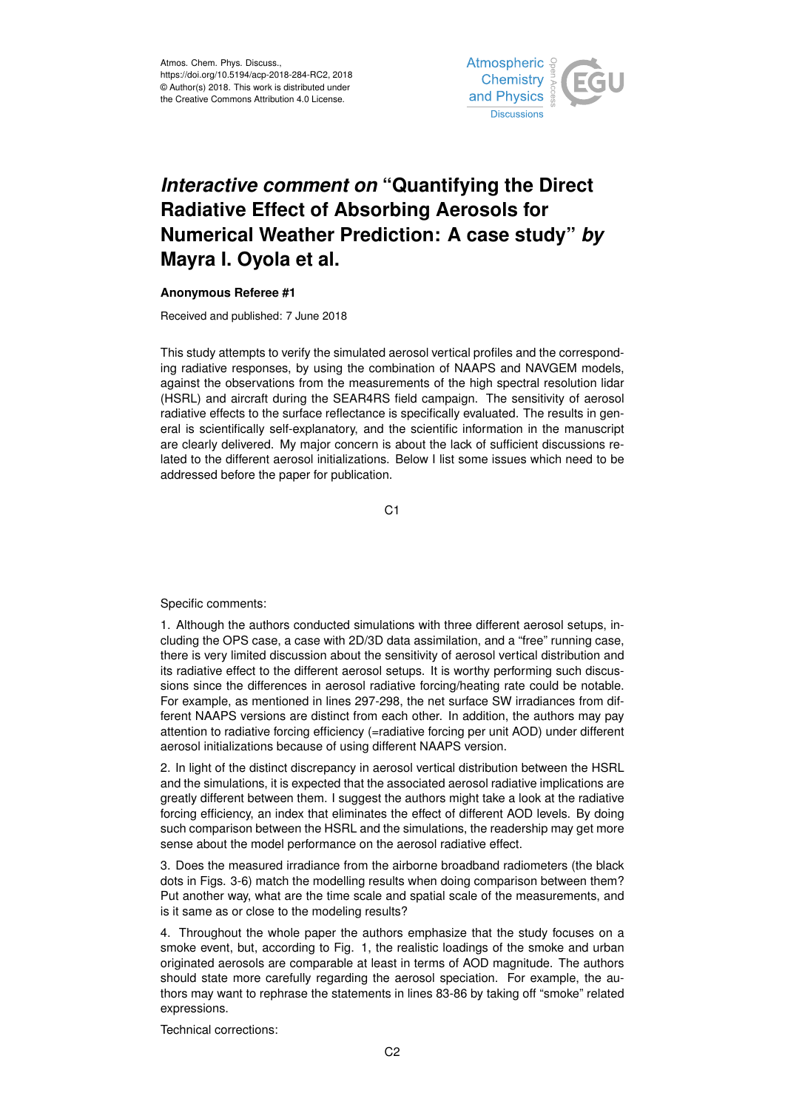

## *Interactive comment on* **"Quantifying the Direct Radiative Effect of Absorbing Aerosols for Numerical Weather Prediction: A case study"** *by* **Mayra I. Oyola et al.**

## **Anonymous Referee #1**

Received and published: 7 June 2018

This study attempts to verify the simulated aerosol vertical profiles and the corresponding radiative responses, by using the combination of NAAPS and NAVGEM models, against the observations from the measurements of the high spectral resolution lidar (HSRL) and aircraft during the SEAR4RS field campaign. The sensitivity of aerosol radiative effects to the surface reflectance is specifically evaluated. The results in general is scientifically self-explanatory, and the scientific information in the manuscript are clearly delivered. My major concern is about the lack of sufficient discussions related to the different aerosol initializations. Below I list some issues which need to be addressed before the paper for publication.

C<sub>1</sub>

Specific comments:

1. Although the authors conducted simulations with three different aerosol setups, including the OPS case, a case with 2D/3D data assimilation, and a "free" running case, there is very limited discussion about the sensitivity of aerosol vertical distribution and its radiative effect to the different aerosol setups. It is worthy performing such discussions since the differences in aerosol radiative forcing/heating rate could be notable. For example, as mentioned in lines 297-298, the net surface SW irradiances from different NAAPS versions are distinct from each other. In addition, the authors may pay attention to radiative forcing efficiency (=radiative forcing per unit AOD) under different aerosol initializations because of using different NAAPS version.

2. In light of the distinct discrepancy in aerosol vertical distribution between the HSRL and the simulations, it is expected that the associated aerosol radiative implications are greatly different between them. I suggest the authors might take a look at the radiative forcing efficiency, an index that eliminates the effect of different AOD levels. By doing such comparison between the HSRL and the simulations, the readership may get more sense about the model performance on the aerosol radiative effect.

3. Does the measured irradiance from the airborne broadband radiometers (the black dots in Figs. 3-6) match the modelling results when doing comparison between them? Put another way, what are the time scale and spatial scale of the measurements, and is it same as or close to the modeling results?

4. Throughout the whole paper the authors emphasize that the study focuses on a smoke event, but, according to Fig. 1, the realistic loadings of the smoke and urban originated aerosols are comparable at least in terms of AOD magnitude. The authors should state more carefully regarding the aerosol speciation. For example, the authors may want to rephrase the statements in lines 83-86 by taking off "smoke" related expressions.

Technical corrections: